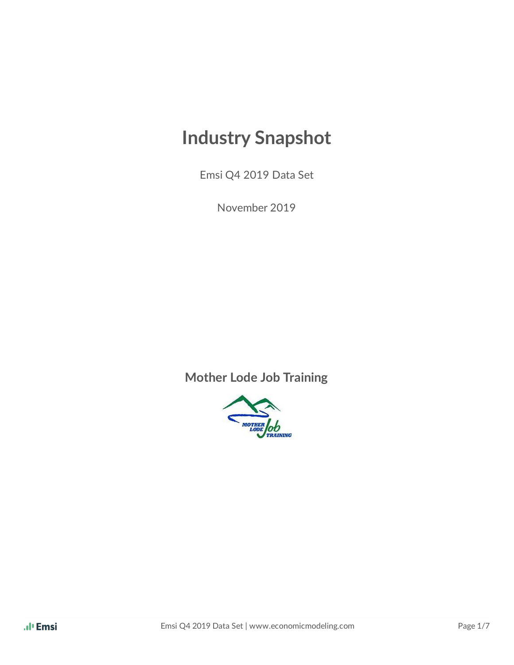# **Industry Snapshot**

Emsi Q4 2019 Data Set

November 2019

**Mother Lode Job Training**

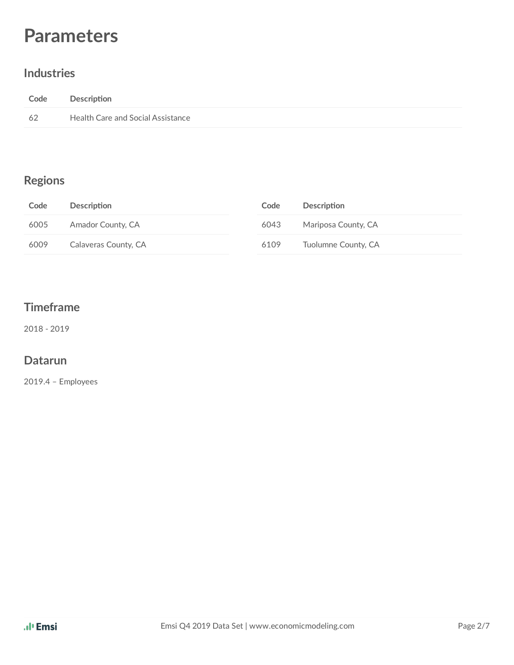# **Parameters**

#### **Industries**

| Code | Description                       |
|------|-----------------------------------|
| -62  | Health Care and Social Assistance |

#### **Regions**

| Code | Description          | Code | <b>Description</b>  |
|------|----------------------|------|---------------------|
| 6005 | Amador County, CA    | 6043 | Mariposa County, CA |
| 6009 | Calaveras County, CA | 6109 | Tuolumne County, CA |

#### **Timeframe**

2018 - 2019

#### **Datarun**

2019.4 – Employees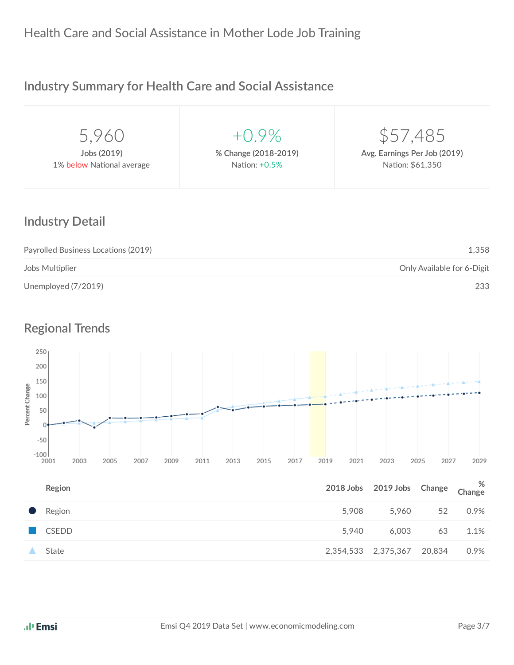#### **Industry Summary for Health Care and Social Assistance**

| 5,960                     | $+()9\%$             | \$57,485                     |
|---------------------------|----------------------|------------------------------|
| Jobs (2019)               | % Change (2018-2019) | Avg. Earnings Per Job (2019) |
| 1% below National average | Nation: +0.5%        | Nation: \$61,350             |
|                           |                      |                              |

#### **Industry Detail**

| Payrolled Business Locations (2019) | 1.358                      |
|-------------------------------------|----------------------------|
| Jobs Multiplier                     | Only Available for 6-Digit |
| Unemployed (7/2019)                 | 233                        |

#### **Regional Trends**



| Region       | 2018 Jobs 2019 Jobs Change Change |                            |    | %       |
|--------------|-----------------------------------|----------------------------|----|---------|
| • Region     | 5.908                             | 5.960                      | 52 | 0.9%    |
| <b>CSEDD</b> | 5.940                             | 6.003                      | 63 | $1.1\%$ |
| State        |                                   | 2,354,533 2,375,367 20,834 |    | 0.9%    |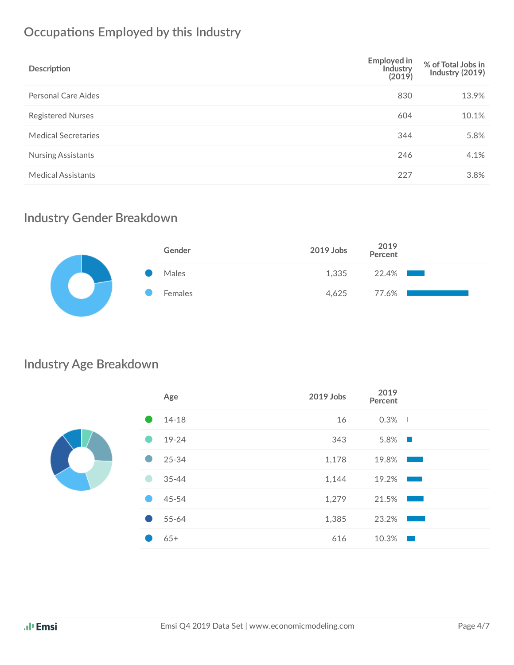# **Occupations Employed by this Industry**

| Description                | <b>Employed in</b><br>Industry<br>(2019) | % of Total Jobs in<br>Industry (2019) |
|----------------------------|------------------------------------------|---------------------------------------|
| Personal Care Aides        | 830                                      | 13.9%                                 |
| <b>Registered Nurses</b>   | 604                                      | 10.1%                                 |
| <b>Medical Secretaries</b> | 344                                      | 5.8%                                  |
| <b>Nursing Assistants</b>  | 246                                      | 4.1%                                  |
| <b>Medical Assistants</b>  | 227                                      | 3.8%                                  |

#### **Industry Gender Breakdown**

| Gender  | 2019 Jobs 2019 |          |
|---------|----------------|----------|
| Males   | 1,335          | $22.4\%$ |
| Females | 4.625          | 77.6% l  |
|         |                |          |

#### **Industry Age Breakdown**

|  | Age       | 2019 Jobs | 2019<br>Percent                                                                                                         |  |
|--|-----------|-----------|-------------------------------------------------------------------------------------------------------------------------|--|
|  | $14 - 18$ | 16        | $0.3\%$                                                                                                                 |  |
|  | 19-24     | 343       | $5.8\%$                                                                                                                 |  |
|  | $25 - 34$ | 1,178     | 19.8%                                                                                                                   |  |
|  | $35 - 44$ | 1,144     | 19.2%<br><b>Service Service</b>                                                                                         |  |
|  | 45-54     | 1,279     | 21.5%                                                                                                                   |  |
|  | 55-64     | 1,385     | 23.2%<br>and the state of the state of the state of the state of the state of the state of the state of the state of th |  |
|  | $65+$     | 616       | 10.3%<br>- 1                                                                                                            |  |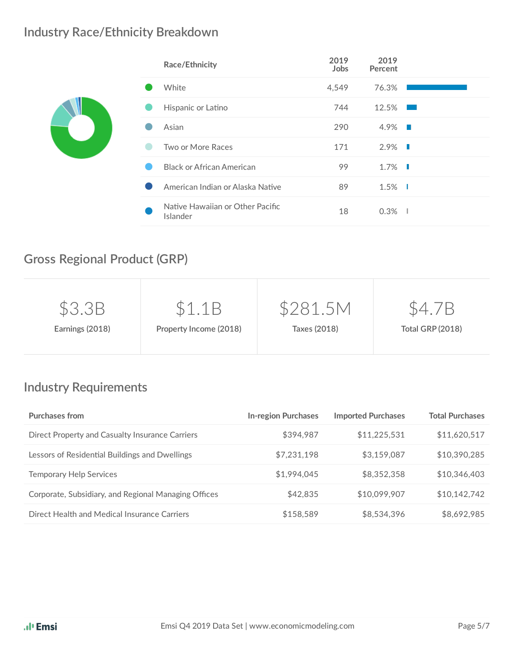#### **Industry Race/Ethnicity Breakdown**

| Race/Ethnicity                               | 2019<br>Jobs | 2019<br>Percent        |  |
|----------------------------------------------|--------------|------------------------|--|
| White                                        | 4,549        | 76.3%                  |  |
| Hispanic or Latino                           | 744          | 12.5%                  |  |
| Asian                                        | 290          | $4.9\%$                |  |
| Two or More Races                            | 171          | $2.9\%$ $\blacksquare$ |  |
| <b>Black or African American</b>             | 99           | $1.7\%$ $\blacksquare$ |  |
| American Indian or Alaska Native             | 89           | $1.5\%$                |  |
| Native Hawaiian or Other Pacific<br>Islander | 18           | $0.3\%$                |  |

# **Gross Regional Product (GRP)**

| \$3.3B          | \$1.1B                 | \$281.5M     | Έ                       |
|-----------------|------------------------|--------------|-------------------------|
| Earnings (2018) | Property Income (2018) | Taxes (2018) | <b>Total GRP (2018)</b> |
|                 |                        |              |                         |

# **Industry Requirements**

| <b>Purchases from</b>                                | <b>In-region Purchases</b> | <b>Imported Purchases</b> | <b>Total Purchases</b> |
|------------------------------------------------------|----------------------------|---------------------------|------------------------|
| Direct Property and Casualty Insurance Carriers      | \$394,987                  | \$11,225,531              | \$11,620,517           |
| Lessors of Residential Buildings and Dwellings       | \$7,231,198                | \$3,159,087               | \$10,390,285           |
| <b>Temporary Help Services</b>                       | \$1,994,045                | \$8,352,358               | \$10,346,403           |
| Corporate, Subsidiary, and Regional Managing Offices | \$42,835                   | \$10,099,907              | \$10,142,742           |
| Direct Health and Medical Insurance Carriers         | \$158,589                  | \$8,534,396               | \$8,692,985            |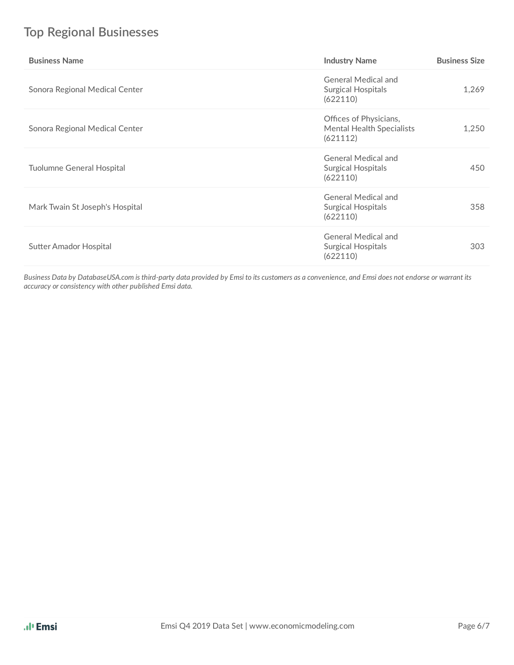# **Top Regional Businesses**

| <b>Business Name</b>            | <b>Industry Name</b>                                                   | <b>Business Size</b> |
|---------------------------------|------------------------------------------------------------------------|----------------------|
| Sonora Regional Medical Center  | <b>General Medical and</b><br>Surgical Hospitals<br>(622110)           | 1,269                |
| Sonora Regional Medical Center  | Offices of Physicians,<br><b>Mental Health Specialists</b><br>(621112) | 1,250                |
| Tuolumne General Hospital       | <b>General Medical and</b><br><b>Surgical Hospitals</b><br>(622110)    | 450                  |
| Mark Twain St Joseph's Hospital | <b>General Medical and</b><br>Surgical Hospitals<br>(622110)           | 358                  |
| <b>Sutter Amador Hospital</b>   | <b>General Medical and</b><br>Surgical Hospitals<br>(622110)           | 303                  |

Business Data by DatabaseUSA.com is third-party data provided by Emsi to its customers as a convenience, and Emsi does not endorse or warrant its *accuracy or consistency with other published Emsi data.*